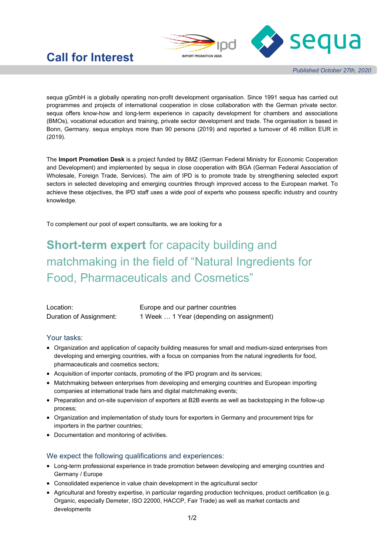

## **Call for Interest**

*Published October 27th, 2020*

sequa gGmbH is a globally operating non-profit development organisation. Since 1991 sequa has carried out programmes and projects of international cooperation in close collaboration with the German private sector. sequa offers know-how and long-term experience in capacity development for chambers and associations (BMOs), vocational education and training, private sector development and trade. The organisation is based in Bonn, Germany. sequa employs more than 90 persons (2019) and reported a turnover of 46 million EUR in (2019).

The **Import Promotion Desk** is a project funded by BMZ (German Federal Ministry for Economic Cooperation and Development) and implemented by sequa in close cooperation with BGA (German Federal Association of Wholesale, Foreign Trade, Services). The aim of IPD is to promote trade by strengthening selected export sectors in selected developing and emerging countries through improved access to the European market. To achieve these objectives, the IPD staff uses a wide pool of experts who possess specific industry and country knowledge.

To complement our pool of expert consultants, we are looking for a

# **Short-term expert** for capacity building and matchmaking in the field of "Natural Ingredients for Food, Pharmaceuticals and Cosmetics"

| Location:               | Europe and our partner countries         |
|-------------------------|------------------------------------------|
| Duration of Assignment: | 1 Week  1 Year (depending on assignment) |

#### Your tasks:

- Organization and application of capacity building measures for small and medium-sized enterprises from developing and emerging countries, with a focus on companies from the natural ingredients for food, pharmaceuticals and cosmetics sectors;
- Acquisition of importer contacts, promoting of the IPD program and its services;
- Matchmaking between enterprises from developing and emerging countries and European importing companies at international trade fairs and digital matchmaking events;
- Preparation and on-site supervision of exporters at B2B events as well as backstopping in the follow-up process;
- Organization and implementation of study tours for exporters in Germany and procurement trips for importers in the partner countries;
- Documentation and monitoring of activities.

#### We expect the following qualifications and experiences:

- Long-term professional experience in trade promotion between developing and emerging countries and Germany / Europe
- Consolidated experience in value chain development in the agricultural sector
- Agricultural and forestry expertise, in particular regarding production techniques, product certification (e.g. Organic, especially Demeter, ISO 22000, HACCP, Fair Trade) as well as market contacts and developments